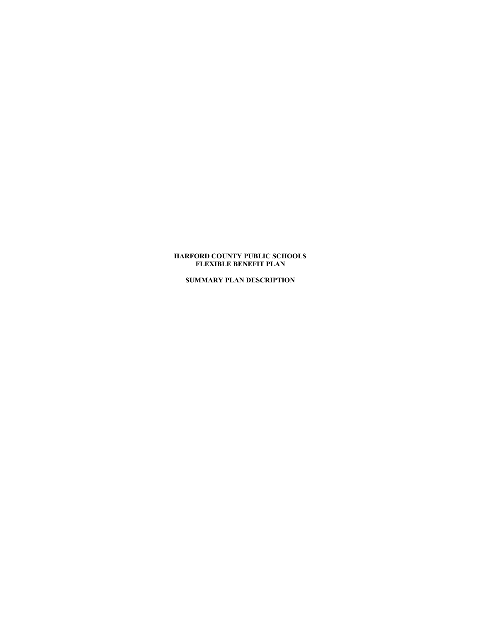# **HARFORD COUNTY PUBLIC SCHOOLS FLEXIBLE BENEFIT PLAN**

**SUMMARY PLAN DESCRIPTION**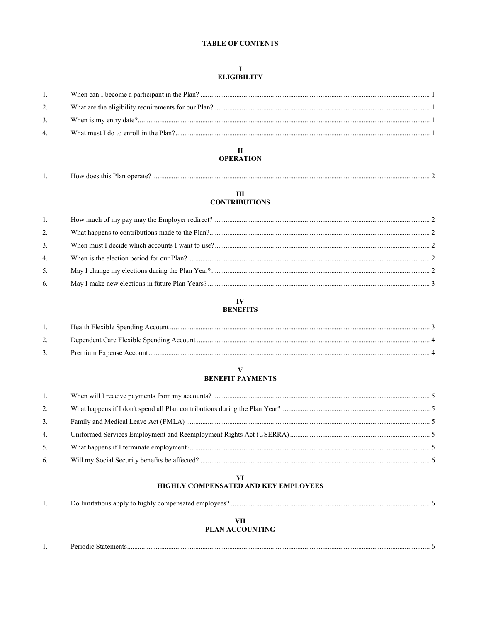# **TABLE OF CONTENTS**

# $\begin{array}{c}\nI \\
ELIGHLLITY\n\end{array}$

| 1.             |  |
|----------------|--|
| 2.             |  |
| 3.             |  |
| $\overline{4}$ |  |
|                |  |

# $\,$  II **OPERATION**

| 10W<br>$\cup$<br>ODEI<br>'ar<br>ы |  |
|-----------------------------------|--|
|                                   |  |

# $\rm III$ **CONTRIBUTIONS**

| 1. |  |
|----|--|
| 2. |  |
| 3. |  |
| 4. |  |
| 5. |  |
| 6. |  |
|    |  |

# ${\bf IV}$ **BENEFITS**

# $\mathbf{V}$

# **BENEFIT PAYMENTS**

| 1.           |  |
|--------------|--|
| 2.           |  |
| 3.           |  |
| $\mathbf{4}$ |  |
| 5.           |  |
| 6.           |  |

# $\mathbf{V}$ HIGHLY COMPENSATED AND KEY EMPLOYEES

# PLAN ACCOUNTING

| $\sim$ $\sim$ $\sim$<br>. |  |
|---------------------------|--|
|                           |  |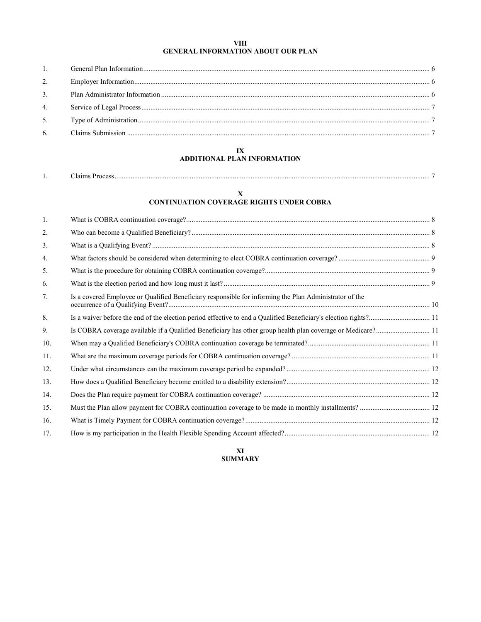## **VIII GENERAL INFORMATION ABOUT OUR PLAN**

| 2. |  |
|----|--|
|    |  |
|    |  |
|    |  |
|    |  |

# **IX**

# **ADDITIONAL PLAN INFORMATION**

| $\sim$<br>-татть<br>10CC |  |
|--------------------------|--|
|                          |  |

# **X**

# **CONTINUATION COVERAGE RIGHTS UNDER COBRA**

| 1.             |                                                                                                             |  |
|----------------|-------------------------------------------------------------------------------------------------------------|--|
| 2.             |                                                                                                             |  |
| 3.             |                                                                                                             |  |
| 4.             |                                                                                                             |  |
| 5.             |                                                                                                             |  |
| 6.             |                                                                                                             |  |
| 7 <sub>1</sub> | Is a covered Employee or Qualified Beneficiary responsible for informing the Plan Administrator of the      |  |
| 8.             |                                                                                                             |  |
| 9.             | Is COBRA coverage available if a Qualified Beneficiary has other group health plan coverage or Medicare? 11 |  |
| 10.            |                                                                                                             |  |
| 11.            |                                                                                                             |  |
| 12.            |                                                                                                             |  |
| 13.            |                                                                                                             |  |
| 14.            |                                                                                                             |  |
| 15.            |                                                                                                             |  |
| 16.            |                                                                                                             |  |
| 17.            |                                                                                                             |  |

# **XI SUMMARY**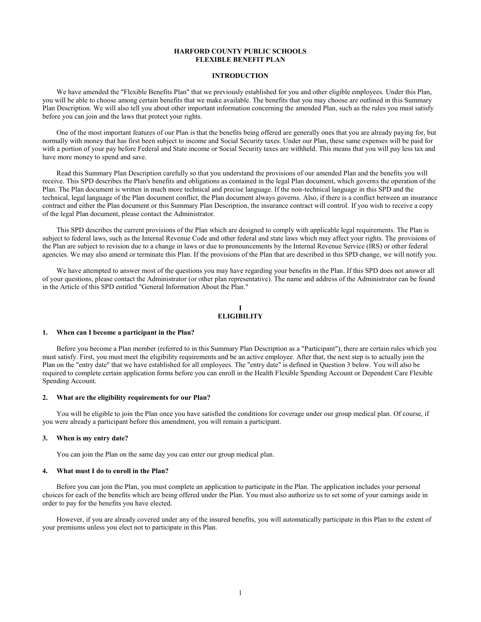# **HARFORD COUNTY PUBLIC SCHOOLS FLEXIBLE BENEFIT PLAN**

#### **INTRODUCTION**

We have amended the "Flexible Benefits Plan" that we previously established for you and other eligible employees. Under this Plan, you will be able to choose among certain benefits that we make available. The benefits that you may choose are outlined in this Summary Plan Description. We will also tell you about other important information concerning the amended Plan, such as the rules you must satisfy before you can join and the laws that protect your rights.

One of the most important features of our Plan is that the benefits being offered are generally ones that you are already paying for, but normally with money that has first been subject to income and Social Security taxes. Under our Plan, these same expenses will be paid for with a portion of your pay before Federal and State income or Social Security taxes are withheld. This means that you will pay less tax and have more money to spend and save.

Read this Summary Plan Description carefully so that you understand the provisions of our amended Plan and the benefits you will receive. This SPD describes the Plan's benefits and obligations as contained in the legal Plan document, which governs the operation of the Plan. The Plan document is written in much more technical and precise language. If the non-technical language in this SPD and the technical, legal language of the Plan document conflict, the Plan document always governs. Also, if there is a conflict between an insurance contract and either the Plan document or this Summary Plan Description, the insurance contract will control. If you wish to receive a copy of the legal Plan document, please contact the Administrator.

This SPD describes the current provisions of the Plan which are designed to comply with applicable legal requirements. The Plan is subject to federal laws, such as the Internal Revenue Code and other federal and state laws which may affect your rights. The provisions of the Plan are subject to revision due to a change in laws or due to pronouncements by the Internal Revenue Service (IRS) or other federal agencies. We may also amend or terminate this Plan. If the provisions of the Plan that are described in this SPD change, we will notify you.

We have attempted to answer most of the questions you may have regarding your benefits in the Plan. If this SPD does not answer all of your questions, please contact the Administrator (or other plan representative). The name and address of the Administrator can be found in the Article of this SPD entitled "General Information About the Plan."

#### **I ELIGIBILITY**

#### **1. When can I become a participant in the Plan?**

Before you become a Plan member (referred to in this Summary Plan Description as a "Participant"), there are certain rules which you must satisfy. First, you must meet the eligibility requirements and be an active employee. After that, the next step is to actually join the Plan on the "entry date" that we have established for all employees. The "entry date" is defined in Question 3 below. You will also be required to complete certain application forms before you can enroll in the Health Flexible Spending Account or Dependent Care Flexible Spending Account.

#### **2. What are the eligibility requirements for our Plan?**

You will be eligible to join the Plan once you have satisfied the conditions for coverage under our group medical plan. Of course, if you were already a participant before this amendment, you will remain a participant.

#### **3. When is my entry date?**

You can join the Plan on the same day you can enter our group medical plan.

#### **4. What must I do to enroll in the Plan?**

Before you can join the Plan, you must complete an application to participate in the Plan. The application includes your personal choices for each of the benefits which are being offered under the Plan. You must also authorize us to set some of your earnings aside in order to pay for the benefits you have elected.

However, if you are already covered under any of the insured benefits, you will automatically participate in this Plan to the extent of your premiums unless you elect not to participate in this Plan.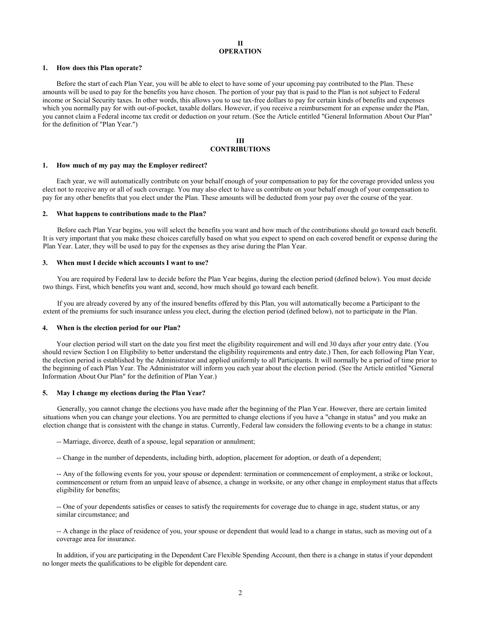#### **II OPERATION**

#### **1. How does this Plan operate?**

Before the start of each Plan Year, you will be able to elect to have some of your upcoming pay contributed to the Plan. These amounts will be used to pay for the benefits you have chosen. The portion of your pay that is paid to the Plan is not subject to Federal income or Social Security taxes. In other words, this allows you to use tax-free dollars to pay for certain kinds of benefits and expenses which you normally pay for with out-of-pocket, taxable dollars. However, if you receive a reimbursement for an expense under the Plan, you cannot claim a Federal income tax credit or deduction on your return. (See the Article entitled "General Information About Our Plan" for the definition of "Plan Year.")

# **III CONTRIBUTIONS**

#### **1. How much of my pay may the Employer redirect?**

Each year, we will automatically contribute on your behalf enough of your compensation to pay for the coverage provided unless you elect not to receive any or all of such coverage. You may also elect to have us contribute on your behalf enough of your compensation to pay for any other benefits that you elect under the Plan. These amounts will be deducted from your pay over the course of the year.

#### **2. What happens to contributions made to the Plan?**

Before each Plan Year begins, you will select the benefits you want and how much of the contributions should go toward each benefit. It is very important that you make these choices carefully based on what you expect to spend on each covered benefit or expense during the Plan Year. Later, they will be used to pay for the expenses as they arise during the Plan Year.

#### **3. When must I decide which accounts I want to use?**

You are required by Federal law to decide before the Plan Year begins, during the election period (defined below). You must decide two things. First, which benefits you want and, second, how much should go toward each benefit.

If you are already covered by any of the insured benefits offered by this Plan, you will automatically become a Participant to the extent of the premiums for such insurance unless you elect, during the election period (defined below), not to participate in the Plan.

#### **4. When is the election period for our Plan?**

Your election period will start on the date you first meet the eligibility requirement and will end 30 days after your entry date. (You should review Section I on Eligibility to better understand the eligibility requirements and entry date.) Then, for each following Plan Year, the election period is established by the Administrator and applied uniformly to all Participants. It will normally be a period of time prior to the beginning of each Plan Year. The Administrator will inform you each year about the election period. (See the Article entitled "General Information About Our Plan" for the definition of Plan Year.)

#### **5. May I change my elections during the Plan Year?**

Generally, you cannot change the elections you have made after the beginning of the Plan Year. However, there are certain limited situations when you can change your elections. You are permitted to change elections if you have a "change in status" and you make an election change that is consistent with the change in status. Currently, Federal law considers the following events to be a change in status:

-- Marriage, divorce, death of a spouse, legal separation or annulment;

-- Change in the number of dependents, including birth, adoption, placement for adoption, or death of a dependent;

-- Any of the following events for you, your spouse or dependent: termination or commencement of employment, a strike or lockout, commencement or return from an unpaid leave of absence, a change in worksite, or any other change in employment status that affects eligibility for benefits;

-- One of your dependents satisfies or ceases to satisfy the requirements for coverage due to change in age, student status, or any similar circumstance; and

-- A change in the place of residence of you, your spouse or dependent that would lead to a change in status, such as moving out of a coverage area for insurance.

In addition, if you are participating in the Dependent Care Flexible Spending Account, then there is a change in status if your dependent no longer meets the qualifications to be eligible for dependent care.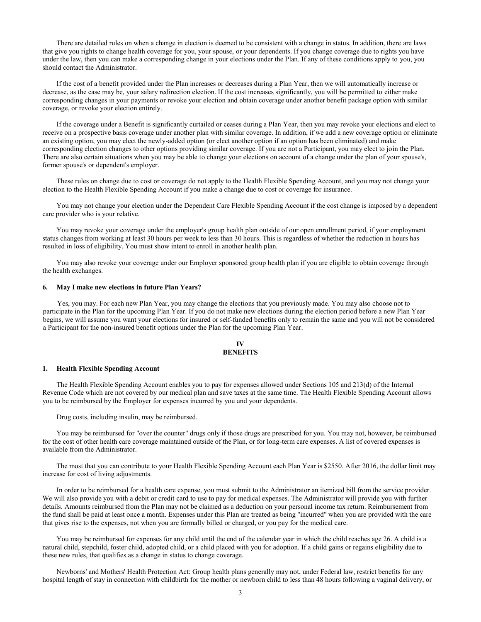There are detailed rules on when a change in election is deemed to be consistent with a change in status. In addition, there are laws that give you rights to change health coverage for you, your spouse, or your dependents. If you change coverage due to rights you have under the law, then you can make a corresponding change in your elections under the Plan. If any of these conditions apply to you, you should contact the Administrator.

If the cost of a benefit provided under the Plan increases or decreases during a Plan Year, then we will automatically increase or decrease, as the case may be, your salary redirection election. If the cost increases significantly, you will be permitted to either make corresponding changes in your payments or revoke your election and obtain coverage under another benefit package option with similar coverage, or revoke your election entirely.

If the coverage under a Benefit is significantly curtailed or ceases during a Plan Year, then you may revoke your elections and elect to receive on a prospective basis coverage under another plan with similar coverage. In addition, if we add a new coverage option or eliminate an existing option, you may elect the newly-added option (or elect another option if an option has been eliminated) and make corresponding election changes to other options providing similar coverage. If you are not a Participant, you may elect to join the Plan. There are also certain situations when you may be able to change your elections on account of a change under the plan of your spouse's, former spouse's or dependent's employer.

These rules on change due to cost or coverage do not apply to the Health Flexible Spending Account, and you may not change your election to the Health Flexible Spending Account if you make a change due to cost or coverage for insurance.

You may not change your election under the Dependent Care Flexible Spending Account if the cost change is imposed by a dependent care provider who is your relative.

You may revoke your coverage under the employer's group health plan outside of our open enrollment period, if your employment status changes from working at least 30 hours per week to less than 30 hours. This is regardless of whether the reduction in hours has resulted in loss of eligibility. You must show intent to enroll in another health plan.

You may also revoke your coverage under our Employer sponsored group health plan if you are eligible to obtain coverage through the health exchanges.

#### **6. May I make new elections in future Plan Years?**

Yes, you may. For each new Plan Year, you may change the elections that you previously made. You may also choose not to participate in the Plan for the upcoming Plan Year. If you do not make new elections during the election period before a new Plan Year begins, we will assume you want your elections for insured or self-funded benefits only to remain the same and you will not be considered a Participant for the non-insured benefit options under the Plan for the upcoming Plan Year.

## **IV BENEFITS**

#### **1. Health Flexible Spending Account**

The Health Flexible Spending Account enables you to pay for expenses allowed under Sections 105 and 213(d) of the Internal Revenue Code which are not covered by our medical plan and save taxes at the same time. The Health Flexible Spending Account allows you to be reimbursed by the Employer for expenses incurred by you and your dependents.

Drug costs, including insulin, may be reimbursed.

You may be reimbursed for "over the counter" drugs only if those drugs are prescribed for you. You may not, however, be reimbursed for the cost of other health care coverage maintained outside of the Plan, or for long-term care expenses. A list of covered expenses is available from the Administrator.

The most that you can contribute to your Health Flexible Spending Account each Plan Year is \$2550. After 2016, the dollar limit may increase for cost of living adjustments.

In order to be reimbursed for a health care expense, you must submit to the Administrator an itemized bill from the service provider. We will also provide you with a debit or credit card to use to pay for medical expenses. The Administrator will provide you with further details. Amounts reimbursed from the Plan may not be claimed as a deduction on your personal income tax return. Reimbursement from the fund shall be paid at least once a month. Expenses under this Plan are treated as being "incurred" when you are provided with the care that gives rise to the expenses, not when you are formally billed or charged, or you pay for the medical care.

You may be reimbursed for expenses for any child until the end of the calendar year in which the child reaches age 26. A child is a natural child, stepchild, foster child, adopted child, or a child placed with you for adoption. If a child gains or regains eligibility due to these new rules, that qualifies as a change in status to change coverage.

Newborns' and Mothers' Health Protection Act: Group health plans generally may not, under Federal law, restrict benefits for any hospital length of stay in connection with childbirth for the mother or newborn child to less than 48 hours following a vaginal delivery, or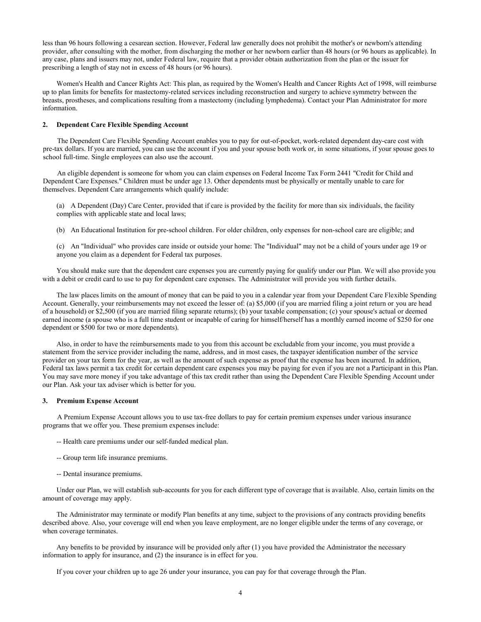less than 96 hours following a cesarean section. However, Federal law generally does not prohibit the mother's or newborn's attending provider, after consulting with the mother, from discharging the mother or her newborn earlier than 48 hours (or 96 hours as applicable). In any case, plans and issuers may not, under Federal law, require that a provider obtain authorization from the plan or the issuer for prescribing a length of stay not in excess of 48 hours (or 96 hours).

Women's Health and Cancer Rights Act: This plan, as required by the Women's Health and Cancer Rights Act of 1998, will reimburse up to plan limits for benefits for mastectomy-related services including reconstruction and surgery to achieve symmetry between the breasts, prostheses, and complications resulting from a mastectomy (including lymphedema). Contact your Plan Administrator for more information.

#### **2. Dependent Care Flexible Spending Account**

The Dependent Care Flexible Spending Account enables you to pay for out-of-pocket, work-related dependent day-care cost with pre-tax dollars. If you are married, you can use the account if you and your spouse both work or, in some situations, if your spouse goes to school full-time. Single employees can also use the account.

An eligible dependent is someone for whom you can claim expenses on Federal Income Tax Form 2441 "Credit for Child and Dependent Care Expenses." Children must be under age 13. Other dependents must be physically or mentally unable to care for themselves. Dependent Care arrangements which qualify include:

(a) A Dependent (Day) Care Center, provided that if care is provided by the facility for more than six individuals, the facility complies with applicable state and local laws;

(b) An Educational Institution for pre-school children. For older children, only expenses for non-school care are eligible; and

(c) An "Individual" who provides care inside or outside your home: The "Individual" may not be a child of yours under age 19 or anyone you claim as a dependent for Federal tax purposes.

You should make sure that the dependent care expenses you are currently paying for qualify under our Plan. We will also provide you with a debit or credit card to use to pay for dependent care expenses. The Administrator will provide you with further details.

The law places limits on the amount of money that can be paid to you in a calendar year from your Dependent Care Flexible Spending Account. Generally, your reimbursements may not exceed the lesser of: (a) \$5,000 (if you are married filing a joint return or you are head of a household) or \$2,500 (if you are married filing separate returns); (b) your taxable compensation; (c) your spouse's actual or deemed earned income (a spouse who is a full time student or incapable of caring for himself/herself has a monthly earned income of \$250 for one dependent or \$500 for two or more dependents).

Also, in order to have the reimbursements made to you from this account be excludable from your income, you must provide a statement from the service provider including the name, address, and in most cases, the taxpayer identification number of the service provider on your tax form for the year, as well as the amount of such expense as proof that the expense has been incurred. In addition, Federal tax laws permit a tax credit for certain dependent care expenses you may be paying for even if you are not a Participant in this Plan. You may save more money if you take advantage of this tax credit rather than using the Dependent Care Flexible Spending Account under our Plan. Ask your tax adviser which is better for you.

#### **3. Premium Expense Account**

A Premium Expense Account allows you to use tax-free dollars to pay for certain premium expenses under various insurance programs that we offer you. These premium expenses include:

- -- Health care premiums under our self-funded medical plan.
- -- Group term life insurance premiums.
- -- Dental insurance premiums.

Under our Plan, we will establish sub-accounts for you for each different type of coverage that is available. Also, certain limits on the amount of coverage may apply.

The Administrator may terminate or modify Plan benefits at any time, subject to the provisions of any contracts providing benefits described above. Also, your coverage will end when you leave employment, are no longer eligible under the terms of any coverage, or when coverage terminates.

Any benefits to be provided by insurance will be provided only after (1) you have provided the Administrator the necessary information to apply for insurance, and (2) the insurance is in effect for you.

If you cover your children up to age 26 under your insurance, you can pay for that coverage through the Plan.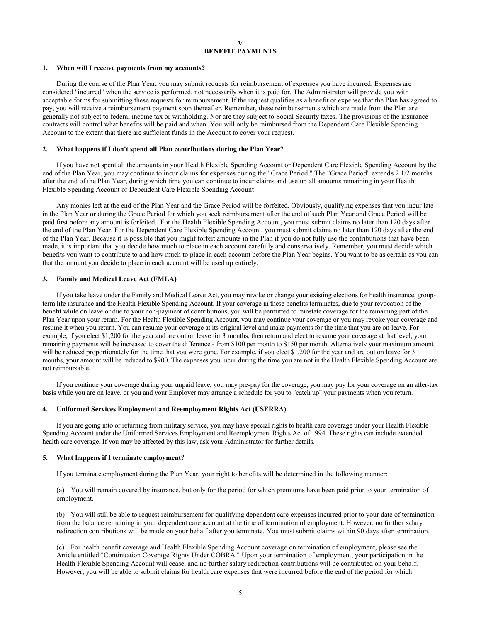# **V BENEFIT PAYMENTS**

#### **1. When will I receive payments from my accounts?**

During the course of the Plan Year, you may submit requests for reimbursement of expenses you have incurred. Expenses are considered "incurred" when the service is performed, not necessarily when it is paid for. The Administrator will provide you with acceptable forms for submitting these requests for reimbursement. If the request qualifies as a benefit or expense that the Plan has agreed to pay, you will receive a reimbursement payment soon thereafter. Remember, these reimbursements which are made from the Plan are generally not subject to federal income tax or withholding. Nor are they subject to Social Security taxes. The provisions of the insurance contracts will control what benefits will be paid and when. You will only be reimbursed from the Dependent Care Flexible Spending Account to the extent that there are sufficient funds in the Account to cover your request.

#### **2. What happens if I don't spend all Plan contributions during the Plan Year?**

If you have not spent all the amounts in your Health Flexible Spending Account or Dependent Care Flexible Spending Account by the end of the Plan Year, you may continue to incur claims for expenses during the "Grace Period." The "Grace Period" extends 2 1/2 months after the end of the Plan Year, during which time you can continue to incur claims and use up all amounts remaining in your Health Flexible Spending Account or Dependent Care Flexible Spending Account.

Any monies left at the end of the Plan Year and the Grace Period will be forfeited. Obviously, qualifying expenses that you incur late in the Plan Year or during the Grace Period for which you seek reimbursement after the end of such Plan Year and Grace Period will be paid first before any amount is forfeited. For the Health Flexible Spending Account, you must submit claims no later than 120 days after the end of the Plan Year. For the Dependent Care Flexible Spending Account, you must submit claims no later than 120 days after the end of the Plan Year. Because it is possible that you might forfeit amounts in the Plan if you do not fully use the contributions that have been made, it is important that you decide how much to place in each account carefully and conservatively. Remember, you must decide which benefits you want to contribute to and how much to place in each account before the Plan Year begins. You want to be as certain as you can that the amount you decide to place in each account will be used up entirely.

#### **3. Family and Medical Leave Act (FMLA)**

If you take leave under the Family and Medical Leave Act, you may revoke or change your existing elections for health insurance, groupterm life insurance and the Health Flexible Spending Account. If your coverage in these benefits terminates, due to your revocation of the benefit while on leave or due to your non-payment of contributions, you will be permitted to reinstate coverage for the remaining part of the Plan Year upon your return. For the Health Flexible Spending Account, you may continue your coverage or you may revoke your coverage and resume it when you return. You can resume your coverage at its original level and make payments for the time that you are on leave. For example, if you elect \$1,200 for the year and are out on leave for 3 months, then return and elect to resume your coverage at that level, your remaining payments will be increased to cover the difference - from \$100 per month to \$150 per month. Alternatively your maximum amount will be reduced proportionately for the time that you were gone. For example, if you elect \$1,200 for the year and are out on leave for 3 months, your amount will be reduced to \$900. The expenses you incur during the time you are not in the Health Flexible Spending Account are not reimbursable.

If you continue your coverage during your unpaid leave, you may pre-pay for the coverage, you may pay for your coverage on an after-tax basis while you are on leave, or you and your Employer may arrange a schedule for you to "catch up" your payments when you return.

# **4. Uniformed Services Employment and Reemployment Rights Act (USERRA)**

If you are going into or returning from military service, you may have special rights to health care coverage under your Health Flexible Spending Account under the Uniformed Services Employment and Reemployment Rights Act of 1994. These rights can include extended health care coverage. If you may be affected by this law, ask your Administrator for further details.

#### **5. What happens if I terminate employment?**

If you terminate employment during the Plan Year, your right to benefits will be determined in the following manner:

(a) You will remain covered by insurance, but only for the period for which premiums have been paid prior to your termination of employment.

(b) You will still be able to request reimbursement for qualifying dependent care expenses incurred prior to your date of termination from the balance remaining in your dependent care account at the time of termination of employment. However, no further salary redirection contributions will be made on your behalf after you terminate. You must submit claims within 90 days after termination.

(c) For health benefit coverage and Health Flexible Spending Account coverage on termination of employment, please see the Article entitled "Continuation Coverage Rights Under COBRA." Upon your termination of employment, your participation in the Health Flexible Spending Account will cease, and no further salary redirection contributions will be contributed on your behalf. However, you will be able to submit claims for health care expenses that were incurred before the end of the period for which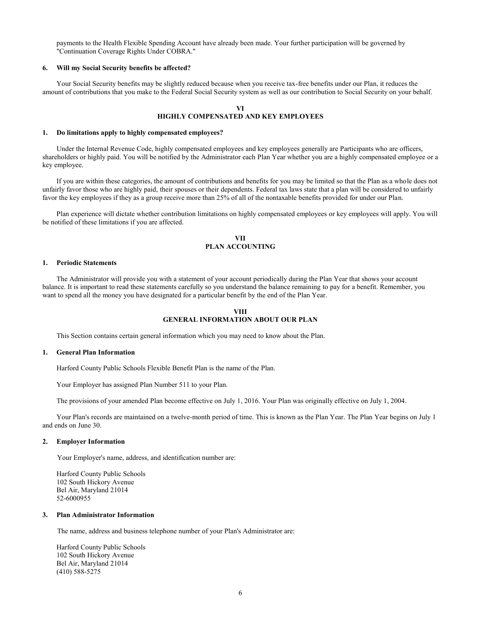payments to the Health Flexible Spending Account have already been made. Your further participation will be governed by "Continuation Coverage Rights Under COBRA."

#### **6. Will my Social Security benefits be affected?**

Your Social Security benefits may be slightly reduced because when you receive tax-free benefits under our Plan, it reduces the amount of contributions that you make to the Federal Social Security system as well as our contribution to Social Security on your behalf.

# **VI HIGHLY COMPENSATED AND KEY EMPLOYEES**

#### **1. Do limitations apply to highly compensated employees?**

Under the Internal Revenue Code, highly compensated employees and key employees generally are Participants who are officers, shareholders or highly paid. You will be notified by the Administrator each Plan Year whether you are a highly compensated employee or a key employee.

If you are within these categories, the amount of contributions and benefits for you may be limited so that the Plan as a whole does not unfairly favor those who are highly paid, their spouses or their dependents. Federal tax laws state that a plan will be considered to unfairly favor the key employees if they as a group receive more than 25% of all of the nontaxable benefits provided for under our Plan.

Plan experience will dictate whether contribution limitations on highly compensated employees or key employees will apply. You will be notified of these limitations if you are affected.

# **VII PLAN ACCOUNTING**

#### **1. Periodic Statements**

The Administrator will provide you with a statement of your account periodically during the Plan Year that shows your account balance. It is important to read these statements carefully so you understand the balance remaining to pay for a benefit. Remember, you want to spend all the money you have designated for a particular benefit by the end of the Plan Year.

# **VIII GENERAL INFORMATION ABOUT OUR PLAN**

This Section contains certain general information which you may need to know about the Plan.

#### **1. General Plan Information**

Harford County Public Schools Flexible Benefit Plan is the name of the Plan.

Your Employer has assigned Plan Number 511 to your Plan.

The provisions of your amended Plan become effective on July 1, 2016. Your Plan was originally effective on July 1, 2004.

Your Plan's records are maintained on a twelve-month period of time. This is known as the Plan Year. The Plan Year begins on July 1 and ends on June 30.

#### **2. Employer Information**

Your Employer's name, address, and identification number are:

Harford County Public Schools 102 South Hickory Avenue Bel Air, Maryland 21014 52-6000955

## **3. Plan Administrator Information**

The name, address and business telephone number of your Plan's Administrator are:

Harford County Public Schools 102 South Hickory Avenue Bel Air, Maryland 21014 (410) 588-5275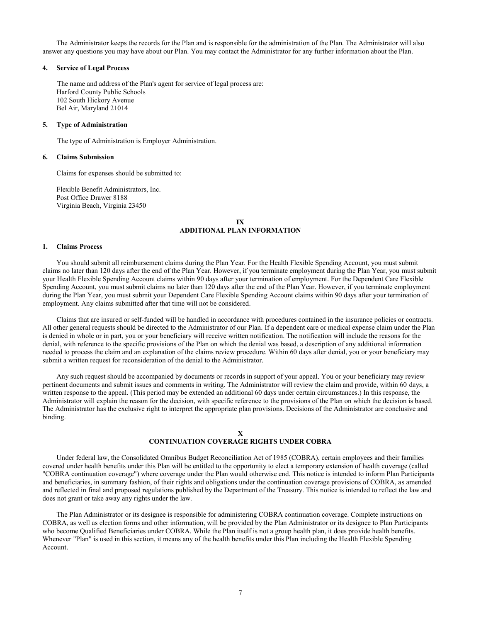The Administrator keeps the records for the Plan and is responsible for the administration of the Plan. The Administrator will also answer any questions you may have about our Plan. You may contact the Administrator for any further information about the Plan.

# **4. Service of Legal Process**

The name and address of the Plan's agent for service of legal process are: Harford County Public Schools 102 South Hickory Avenue Bel Air, Maryland 21014

#### **5. Type of Administration**

The type of Administration is Employer Administration.

#### **6. Claims Submission**

Claims for expenses should be submitted to:

Flexible Benefit Administrators, Inc. Post Office Drawer 8188 Virginia Beach, Virginia 23450

# **IX ADDITIONAL PLAN INFORMATION**

#### **1. Claims Process**

You should submit all reimbursement claims during the Plan Year. For the Health Flexible Spending Account, you must submit claims no later than 120 days after the end of the Plan Year. However, if you terminate employment during the Plan Year, you must submit your Health Flexible Spending Account claims within 90 days after your termination of employment. For the Dependent Care Flexible Spending Account, you must submit claims no later than 120 days after the end of the Plan Year. However, if you terminate employment during the Plan Year, you must submit your Dependent Care Flexible Spending Account claims within 90 days after your termination of employment. Any claims submitted after that time will not be considered.

Claims that are insured or self-funded will be handled in accordance with procedures contained in the insurance policies or contracts. All other general requests should be directed to the Administrator of our Plan. If a dependent care or medical expense claim under the Plan is denied in whole or in part, you or your beneficiary will receive written notification. The notification will include the reasons for the denial, with reference to the specific provisions of the Plan on which the denial was based, a description of any additional information needed to process the claim and an explanation of the claims review procedure. Within 60 days after denial, you or your beneficiary may submit a written request for reconsideration of the denial to the Administrator.

Any such request should be accompanied by documents or records in support of your appeal. You or your beneficiary may review pertinent documents and submit issues and comments in writing. The Administrator will review the claim and provide, within 60 days, a written response to the appeal. (This period may be extended an additional 60 days under certain circumstances.) In this response, the Administrator will explain the reason for the decision, with specific reference to the provisions of the Plan on which the decision is based. The Administrator has the exclusive right to interpret the appropriate plan provisions. Decisions of the Administrator are conclusive and binding.

# **X**

# **CONTINUATION COVERAGE RIGHTS UNDER COBRA**

Under federal law, the Consolidated Omnibus Budget Reconciliation Act of 1985 (COBRA), certain employees and their families covered under health benefits under this Plan will be entitled to the opportunity to elect a temporary extension of health coverage (called "COBRA continuation coverage") where coverage under the Plan would otherwise end. This notice is intended to inform Plan Participants and beneficiaries, in summary fashion, of their rights and obligations under the continuation coverage provisions of COBRA, as amended and reflected in final and proposed regulations published by the Department of the Treasury. This notice is intended to reflect the law and does not grant or take away any rights under the law.

The Plan Administrator or its designee is responsible for administering COBRA continuation coverage. Complete instructions on COBRA, as well as election forms and other information, will be provided by the Plan Administrator or its designee to Plan Participants who become Qualified Beneficiaries under COBRA. While the Plan itself is not a group health plan, it does provide health benefits. Whenever "Plan" is used in this section, it means any of the health benefits under this Plan including the Health Flexible Spending Account.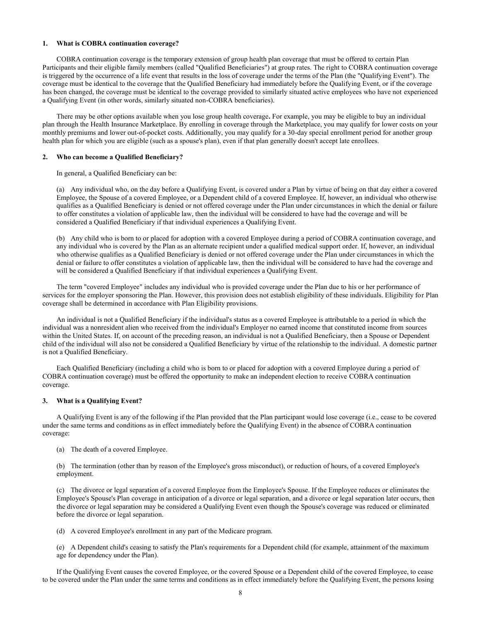## **1. What is COBRA continuation coverage?**

COBRA continuation coverage is the temporary extension of group health plan coverage that must be offered to certain Plan Participants and their eligible family members (called "Qualified Beneficiaries") at group rates. The right to COBRA continuation coverage is triggered by the occurrence of a life event that results in the loss of coverage under the terms of the Plan (the "Qualifying Event"). The coverage must be identical to the coverage that the Qualified Beneficiary had immediately before the Qualifying Event, or if the coverage has been changed, the coverage must be identical to the coverage provided to similarly situated active employees who have not experienced a Qualifying Event (in other words, similarly situated non-COBRA beneficiaries).

There may be other options available when you lose group health coverage**.** For example, you may be eligible to buy an individual plan through the Health Insurance Marketplace. By enrolling in coverage through the Marketplace, you may qualify for lower costs on your monthly premiums and lower out-of-pocket costs. Additionally, you may qualify for a 30-day special enrollment period for another group health plan for which you are eligible (such as a spouse's plan), even if that plan generally doesn't accept late enrollees.

#### **2. Who can become a Qualified Beneficiary?**

In general, a Qualified Beneficiary can be:

(a) Any individual who, on the day before a Qualifying Event, is covered under a Plan by virtue of being on that day either a covered Employee, the Spouse of a covered Employee, or a Dependent child of a covered Employee. If, however, an individual who otherwise qualifies as a Qualified Beneficiary is denied or not offered coverage under the Plan under circumstances in which the denial or failure to offer constitutes a violation of applicable law, then the individual will be considered to have had the coverage and will be considered a Qualified Beneficiary if that individual experiences a Qualifying Event.

(b) Any child who is born to or placed for adoption with a covered Employee during a period of COBRA continuation coverage, and any individual who is covered by the Plan as an alternate recipient under a qualified medical support order. If, however, an individual who otherwise qualifies as a Qualified Beneficiary is denied or not offered coverage under the Plan under circumstances in which the denial or failure to offer constitutes a violation of applicable law, then the individual will be considered to have had the coverage and will be considered a Qualified Beneficiary if that individual experiences a Qualifying Event.

The term "covered Employee" includes any individual who is provided coverage under the Plan due to his or her performance of services for the employer sponsoring the Plan. However, this provision does not establish eligibility of these individuals. Eligibility for Plan coverage shall be determined in accordance with Plan Eligibility provisions.

An individual is not a Qualified Beneficiary if the individual's status as a covered Employee is attributable to a period in which the individual was a nonresident alien who received from the individual's Employer no earned income that constituted income from sources within the United States. If, on account of the preceding reason, an individual is not a Qualified Beneficiary, then a Spouse or Dependent child of the individual will also not be considered a Qualified Beneficiary by virtue of the relationship to the individual. A domestic partner is not a Qualified Beneficiary.

Each Qualified Beneficiary (including a child who is born to or placed for adoption with a covered Employee during a period of COBRA continuation coverage) must be offered the opportunity to make an independent election to receive COBRA continuation coverage.

#### **3. What is a Qualifying Event?**

A Qualifying Event is any of the following if the Plan provided that the Plan participant would lose coverage (i.e., cease to be covered under the same terms and conditions as in effect immediately before the Qualifying Event) in the absence of COBRA continuation coverage:

(a) The death of a covered Employee.

(b) The termination (other than by reason of the Employee's gross misconduct), or reduction of hours, of a covered Employee's employment.

(c) The divorce or legal separation of a covered Employee from the Employee's Spouse. If the Employee reduces or eliminates the Employee's Spouse's Plan coverage in anticipation of a divorce or legal separation, and a divorce or legal separation later occurs, then the divorce or legal separation may be considered a Qualifying Event even though the Spouse's coverage was reduced or eliminated before the divorce or legal separation.

(d) A covered Employee's enrollment in any part of the Medicare program.

(e) A Dependent child's ceasing to satisfy the Plan's requirements for a Dependent child (for example, attainment of the maximum age for dependency under the Plan).

If the Qualifying Event causes the covered Employee, or the covered Spouse or a Dependent child of the covered Employee, to cease to be covered under the Plan under the same terms and conditions as in effect immediately before the Qualifying Event, the persons losing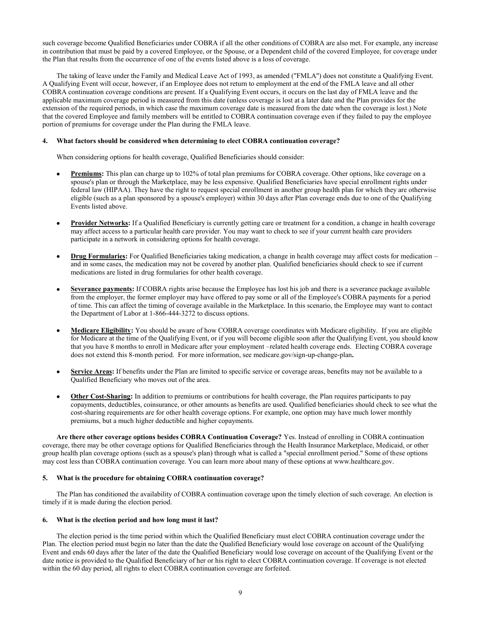such coverage become Qualified Beneficiaries under COBRA if all the other conditions of COBRA are also met. For example, any increase in contribution that must be paid by a covered Employee, or the Spouse, or a Dependent child of the covered Employee, for coverage under the Plan that results from the occurrence of one of the events listed above is a loss of coverage.

The taking of leave under the Family and Medical Leave Act of 1993, as amended ("FMLA") does not constitute a Qualifying Event. A Qualifying Event will occur, however, if an Employee does not return to employment at the end of the FMLA leave and all other COBRA continuation coverage conditions are present. If a Qualifying Event occurs, it occurs on the last day of FMLA leave and the applicable maximum coverage period is measured from this date (unless coverage is lost at a later date and the Plan provides for the extension of the required periods, in which case the maximum coverage date is measured from the date when the coverage is lost.) Note that the covered Employee and family members will be entitled to COBRA continuation coverage even if they failed to pay the employee portion of premiums for coverage under the Plan during the FMLA leave.

## **4. What factors should be considered when determining to elect COBRA continuation coverage?**

When considering options for health coverage, Qualified Beneficiaries should consider:

- **Premiums:** This plan can charge up to 102% of total plan premiums for COBRA coverage. Other options, like coverage on a spouse's plan or through the Marketplace, may be less expensive. Qualified Beneficiaries have special enrollment rights under federal law (HIPAA). They have the right to request special enrollment in another group health plan for which they are otherwise eligible (such as a plan sponsored by a spouse's employer) within 30 days after Plan coverage ends due to one of the Qualifying Events listed above.
- **Provider Networks:** If a Qualified Beneficiary is currently getting care or treatment for a condition, a change in health coverage may affect access to a particular health care provider. You may want to check to see if your current health care providers participate in a network in considering options for health coverage.
- **Drug Formularies:** For Qualified Beneficiaries taking medication, a change in health coverage may affect costs for medication and in some cases, the medication may not be covered by another plan. Qualified beneficiaries should check to see if current medications are listed in drug formularies for other health coverage.
- **Severance payments:** If COBRA rights arise because the Employee has lost his job and there is a severance package available from the employer, the former employer may have offered to pay some or all of the Employee's COBRA payments for a period of time. This can affect the timing of coverage available in the Marketplace. In this scenario, the Employee may want to contact the Department of Labor at 1-866-444-3272 to discuss options.
- **Medicare Eligibility:** You should be aware of how COBRA coverage coordinates with Medicare eligibility. If you are eligible for Medicare at the time of the Qualifying Event, or if you will become eligible soon after the Qualifying Event, you should know that you have 8 months to enroll in Medicare after your employment –related health coverage ends. Electing COBRA coverage does not extend this 8-month period. For more information, see medicare.gov/sign-up-change-plan**.**
- **Service Areas:** If benefits under the Plan are limited to specific service or coverage areas, benefits may not be available to a Qualified Beneficiary who moves out of the area.
- **Other Cost-Sharing:** In addition to premiums or contributions for health coverage, the Plan requires participants to pay copayments, deductibles, coinsurance, or other amounts as benefits are used. Qualified beneficiaries should check to see what the cost-sharing requirements are for other health coverage options. For example, one option may have much lower monthly premiums, but a much higher deductible and higher copayments.

**Are there other coverage options besides COBRA Continuation Coverage?** Yes. Instead of enrolling in COBRA continuation coverage, there may be other coverage options for Qualified Beneficiaries through the Health Insurance Marketplace, Medicaid, or other group health plan coverage options (such as a spouse's plan) through what is called a "special enrollment period." Some of these options may cost less than COBRA continuation coverage. You can learn more about many of these options at www.healthcare.gov.

# **5. What is the procedure for obtaining COBRA continuation coverage?**

The Plan has conditioned the availability of COBRA continuation coverage upon the timely election of such coverage. An election is timely if it is made during the election period.

# **6. What is the election period and how long must it last?**

The election period is the time period within which the Qualified Beneficiary must elect COBRA continuation coverage under the Plan. The election period must begin no later than the date the Qualified Beneficiary would lose coverage on account of the Qualifying Event and ends 60 days after the later of the date the Qualified Beneficiary would lose coverage on account of the Qualifying Event or the date notice is provided to the Qualified Beneficiary of her or his right to elect COBRA continuation coverage. If coverage is not elected within the 60 day period, all rights to elect COBRA continuation coverage are forfeited.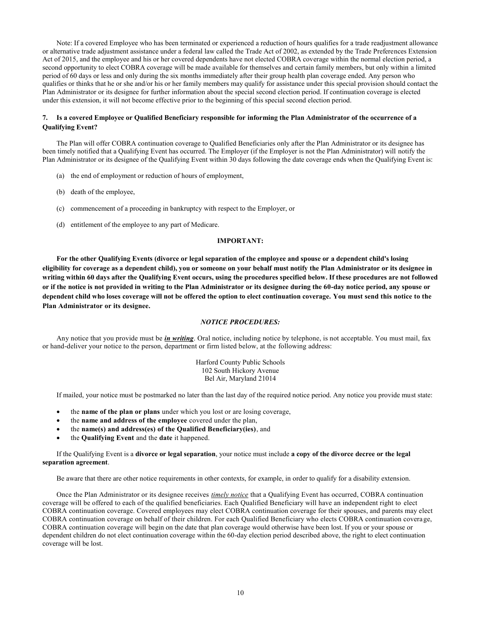Note: If a covered Employee who has been terminated or experienced a reduction of hours qualifies for a trade readjustment allowance or alternative trade adjustment assistance under a federal law called the Trade Act of 2002, as extended by the Trade Preferences Extension Act of 2015, and the employee and his or her covered dependents have not elected COBRA coverage within the normal election period, a second opportunity to elect COBRA coverage will be made available for themselves and certain family members, but only within a limited period of 60 days or less and only during the six months immediately after their group health plan coverage ended. Any person who qualifies or thinks that he or she and/or his or her family members may qualify for assistance under this special provision should contact the Plan Administrator or its designee for further information about the special second election period. If continuation coverage is elected under this extension, it will not become effective prior to the beginning of this special second election period.

# **7. Is a covered Employee or Qualified Beneficiary responsible for informing the Plan Administrator of the occurrence of a Qualifying Event?**

The Plan will offer COBRA continuation coverage to Qualified Beneficiaries only after the Plan Administrator or its designee has been timely notified that a Qualifying Event has occurred. The Employer (if the Employer is not the Plan Administrator) will notify the Plan Administrator or its designee of the Qualifying Event within 30 days following the date coverage ends when the Qualifying Event is:

- (a) the end of employment or reduction of hours of employment,
- (b) death of the employee,
- (c) commencement of a proceeding in bankruptcy with respect to the Employer, or
- (d) entitlement of the employee to any part of Medicare.

#### **IMPORTANT:**

**For the other Qualifying Events (divorce or legal separation of the employee and spouse or a dependent child's losing eligibility for coverage as a dependent child), you or someone on your behalf must notify the Plan Administrator or its designee in writing within 60 days after the Qualifying Event occurs, using the procedures specified below. If these procedures are not followed or if the notice is not provided in writing to the Plan Administrator or its designee during the 60-day notice period, any spouse or dependent child who loses coverage will not be offered the option to elect continuation coverage. You must send this notice to the Plan Administrator or its designee.**

## *NOTICE PROCEDURES:*

Any notice that you provide must be *in writing*. Oral notice, including notice by telephone, is not acceptable. You must mail, fax or hand-deliver your notice to the person, department or firm listed below, at the following address:

> Harford County Public Schools 102 South Hickory Avenue Bel Air, Maryland 21014

If mailed, your notice must be postmarked no later than the last day of the required notice period. Any notice you provide must state:

- the **name of the plan or plans** under which you lost or are losing coverage,
- the **name and address of the employee** covered under the plan,
- the **name(s) and address(es) of the Qualified Beneficiary(ies)**, and
- the **Qualifying Event** and the **date** it happened.

If the Qualifying Event is a **divorce or legal separation**, your notice must include **a copy of the divorce decree or the legal separation agreement**.

Be aware that there are other notice requirements in other contexts, for example, in order to qualify for a disability extension.

Once the Plan Administrator or its designee receives *timely notice* that a Qualifying Event has occurred, COBRA continuation coverage will be offered to each of the qualified beneficiaries. Each Qualified Beneficiary will have an independent right to elect COBRA continuation coverage. Covered employees may elect COBRA continuation coverage for their spouses, and parents may elect COBRA continuation coverage on behalf of their children. For each Qualified Beneficiary who elects COBRA continuation coverage, COBRA continuation coverage will begin on the date that plan coverage would otherwise have been lost. If you or your spouse or dependent children do not elect continuation coverage within the 60-day election period described above, the right to elect continuation coverage will be lost.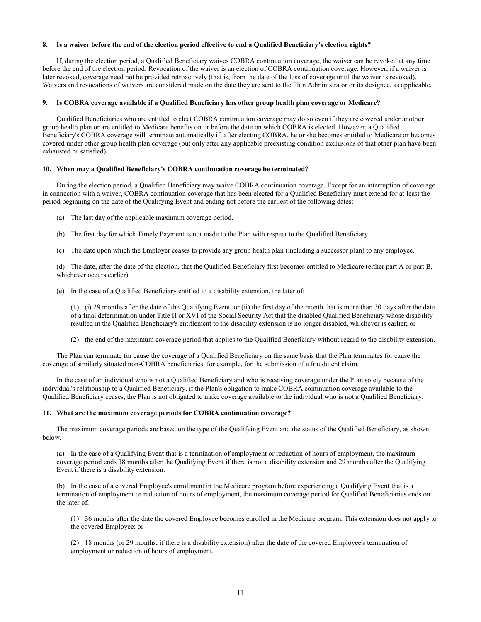#### **8. Is a waiver before the end of the election period effective to end a Qualified Beneficiary's election rights?**

If, during the election period, a Qualified Beneficiary waives COBRA continuation coverage, the waiver can be revoked at any time before the end of the election period. Revocation of the waiver is an election of COBRA continuation coverage. However, if a waiver is later revoked, coverage need not be provided retroactively (that is, from the date of the loss of coverage until the waiver is revoked). Waivers and revocations of waivers are considered made on the date they are sent to the Plan Administrator or its designee, as applicable.

# **9. Is COBRA coverage available if a Qualified Beneficiary has other group health plan coverage or Medicare?**

Qualified Beneficiaries who are entitled to elect COBRA continuation coverage may do so even if they are covered under another group health plan or are entitled to Medicare benefits on or before the date on which COBRA is elected. However, a Qualified Beneficiary's COBRA coverage will terminate automatically if, after electing COBRA, he or she becomes entitled to Medicare or becomes covered under other group health plan coverage (but only after any applicable preexisting condition exclusions of that other plan have been exhausted or satisfied).

# **10. When may a Qualified Beneficiary's COBRA continuation coverage be terminated?**

During the election period, a Qualified Beneficiary may waive COBRA continuation coverage. Except for an interruption of coverage in connection with a waiver, COBRA continuation coverage that has been elected for a Qualified Beneficiary must extend for at least the period beginning on the date of the Qualifying Event and ending not before the earliest of the following dates:

- (a) The last day of the applicable maximum coverage period.
- (b) The first day for which Timely Payment is not made to the Plan with respect to the Qualified Beneficiary.
- (c) The date upon which the Employer ceases to provide any group health plan (including a successor plan) to any employee.

(d) The date, after the date of the election, that the Qualified Beneficiary first becomes entitled to Medicare (either part A or part B, whichever occurs earlier).

(e) In the case of a Qualified Beneficiary entitled to a disability extension, the later of:

(1) (i) 29 months after the date of the Qualifying Event, or (ii) the first day of the month that is more than 30 days after the date of a final determination under Title II or XVI of the Social Security Act that the disabled Qualified Beneficiary whose disability resulted in the Qualified Beneficiary's entitlement to the disability extension is no longer disabled, whichever is earlier; or

(2) the end of the maximum coverage period that applies to the Qualified Beneficiary without regard to the disability extension.

The Plan can terminate for cause the coverage of a Qualified Beneficiary on the same basis that the Plan terminates for cause the coverage of similarly situated non-COBRA beneficiaries, for example, for the submission of a fraudulent claim.

In the case of an individual who is not a Qualified Beneficiary and who is receiving coverage under the Plan solely because of the individual's relationship to a Qualified Beneficiary, if the Plan's obligation to make COBRA continuation coverage available to the Qualified Beneficiary ceases, the Plan is not obligated to make coverage available to the individual who is not a Qualified Beneficiary.

#### **11. What are the maximum coverage periods for COBRA continuation coverage?**

The maximum coverage periods are based on the type of the Qualifying Event and the status of the Qualified Beneficiary, as shown below.

(a) In the case of a Qualifying Event that is a termination of employment or reduction of hours of employment, the maximum coverage period ends 18 months after the Qualifying Event if there is not a disability extension and 29 months after the Qualifying Event if there is a disability extension.

(b) In the case of a covered Employee's enrollment in the Medicare program before experiencing a Qualifying Event that is a termination of employment or reduction of hours of employment, the maximum coverage period for Qualified Beneficiaries ends on the later of:

(1) 36 months after the date the covered Employee becomes enrolled in the Medicare program. This extension does not apply to the covered Employee; or

(2) 18 months (or 29 months, if there is a disability extension) after the date of the covered Employee's termination of employment or reduction of hours of employment.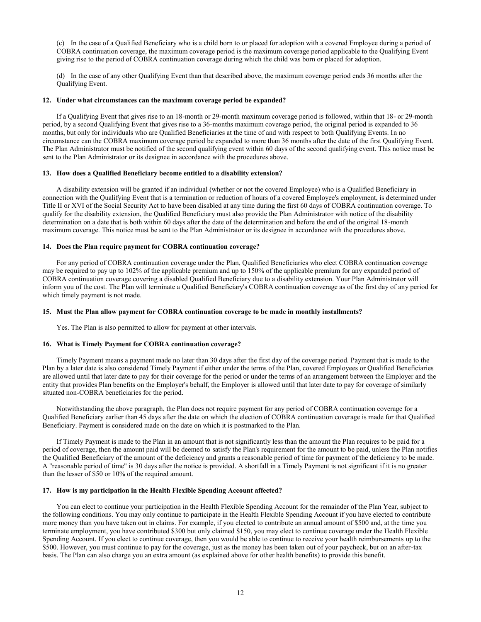(c) In the case of a Qualified Beneficiary who is a child born to or placed for adoption with a covered Employee during a period of COBRA continuation coverage, the maximum coverage period is the maximum coverage period applicable to the Qualifying Event giving rise to the period of COBRA continuation coverage during which the child was born or placed for adoption.

(d) In the case of any other Qualifying Event than that described above, the maximum coverage period ends 36 months after the Qualifying Event.

## **12. Under what circumstances can the maximum coverage period be expanded?**

If a Qualifying Event that gives rise to an 18-month or 29-month maximum coverage period is followed, within that 18- or 29-month period, by a second Qualifying Event that gives rise to a 36-months maximum coverage period, the original period is expanded to 36 months, but only for individuals who are Qualified Beneficiaries at the time of and with respect to both Qualifying Events. In no circumstance can the COBRA maximum coverage period be expanded to more than 36 months after the date of the first Qualifying Event. The Plan Administrator must be notified of the second qualifying event within 60 days of the second qualifying event. This notice must be sent to the Plan Administrator or its designee in accordance with the procedures above.

#### **13. How does a Qualified Beneficiary become entitled to a disability extension?**

A disability extension will be granted if an individual (whether or not the covered Employee) who is a Qualified Beneficiary in connection with the Qualifying Event that is a termination or reduction of hours of a covered Employee's employment, is determined under Title II or XVI of the Social Security Act to have been disabled at any time during the first 60 days of COBRA continuation coverage. To qualify for the disability extension, the Qualified Beneficiary must also provide the Plan Administrator with notice of the disability determination on a date that is both within 60 days after the date of the determination and before the end of the original 18-month maximum coverage. This notice must be sent to the Plan Administrator or its designee in accordance with the procedures above.

#### **14. Does the Plan require payment for COBRA continuation coverage?**

For any period of COBRA continuation coverage under the Plan, Qualified Beneficiaries who elect COBRA continuation coverage may be required to pay up to 102% of the applicable premium and up to 150% of the applicable premium for any expanded period of COBRA continuation coverage covering a disabled Qualified Beneficiary due to a disability extension. Your Plan Administrator will inform you of the cost. The Plan will terminate a Qualified Beneficiary's COBRA continuation coverage as of the first day of any period for which timely payment is not made.

#### **15. Must the Plan allow payment for COBRA continuation coverage to be made in monthly installments?**

Yes. The Plan is also permitted to allow for payment at other intervals.

#### **16. What is Timely Payment for COBRA continuation coverage?**

Timely Payment means a payment made no later than 30 days after the first day of the coverage period. Payment that is made to the Plan by a later date is also considered Timely Payment if either under the terms of the Plan, covered Employees or Qualified Beneficiaries are allowed until that later date to pay for their coverage for the period or under the terms of an arrangement between the Employer and the entity that provides Plan benefits on the Employer's behalf, the Employer is allowed until that later date to pay for coverage of similarly situated non-COBRA beneficiaries for the period.

Notwithstanding the above paragraph, the Plan does not require payment for any period of COBRA continuation coverage for a Qualified Beneficiary earlier than 45 days after the date on which the election of COBRA continuation coverage is made for that Qualified Beneficiary. Payment is considered made on the date on which it is postmarked to the Plan.

If Timely Payment is made to the Plan in an amount that is not significantly less than the amount the Plan requires to be paid for a period of coverage, then the amount paid will be deemed to satisfy the Plan's requirement for the amount to be paid, unless the Plan notifies the Qualified Beneficiary of the amount of the deficiency and grants a reasonable period of time for payment of the deficiency to be made. A "reasonable period of time" is 30 days after the notice is provided. A shortfall in a Timely Payment is not significant if it is no greater than the lesser of \$50 or 10% of the required amount.

#### **17. How is my participation in the Health Flexible Spending Account affected?**

You can elect to continue your participation in the Health Flexible Spending Account for the remainder of the Plan Year, subject to the following conditions. You may only continue to participate in the Health Flexible Spending Account if you have elected to contribute more money than you have taken out in claims. For example, if you elected to contribute an annual amount of \$500 and, at the time you terminate employment, you have contributed \$300 but only claimed \$150, you may elect to continue coverage under the Health Flexible Spending Account. If you elect to continue coverage, then you would be able to continue to receive your health reimbursements up to the \$500. However, you must continue to pay for the coverage, just as the money has been taken out of your paycheck, but on an after-tax basis. The Plan can also charge you an extra amount (as explained above for other health benefits) to provide this benefit.